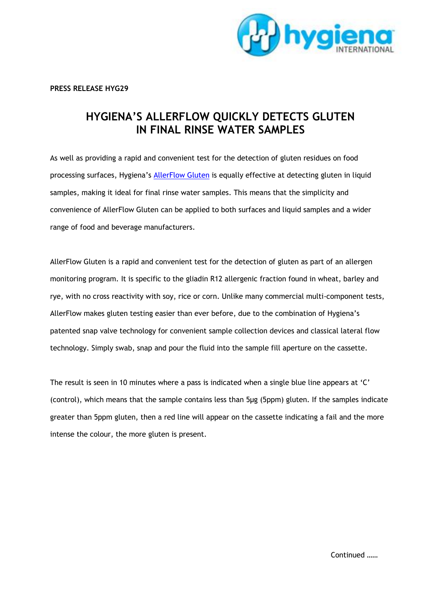

**PRESS RELEASE HYG29**

## **HYGIENA'S ALLERFLOW QUICKLY DETECTS GLUTEN IN FINAL RINSE WATER SAMPLES**

As well as providing a rapid and convenient test for the detection of gluten residues on food processing surfaces, Hygiena's [AllerFlow Gluten](http://www.hygiena.com/allerflow-gluten-other.html) is equally effective at detecting gluten in liquid samples, making it ideal for final rinse water samples. This means that the simplicity and convenience of AllerFlow Gluten can be applied to both surfaces and liquid samples and a wider range of food and beverage manufacturers.

AllerFlow Gluten is a rapid and convenient test for the detection of gluten as part of an allergen monitoring program. It is specific to the gliadin R12 allergenic fraction found in wheat, barley and rye, with no cross reactivity with soy, rice or corn. Unlike many commercial multi-component tests, AllerFlow makes gluten testing easier than ever before, due to the combination of Hygiena's patented snap valve technology for convenient sample collection devices and classical lateral flow technology. Simply swab, snap and pour the fluid into the sample fill aperture on the cassette.

The result is seen in 10 minutes where a pass is indicated when a single blue line appears at 'C' (control), which means that the sample contains less than 5µg (5ppm) gluten. If the samples indicate greater than 5ppm gluten, then a red line will appear on the cassette indicating a fail and the more intense the colour, the more gluten is present.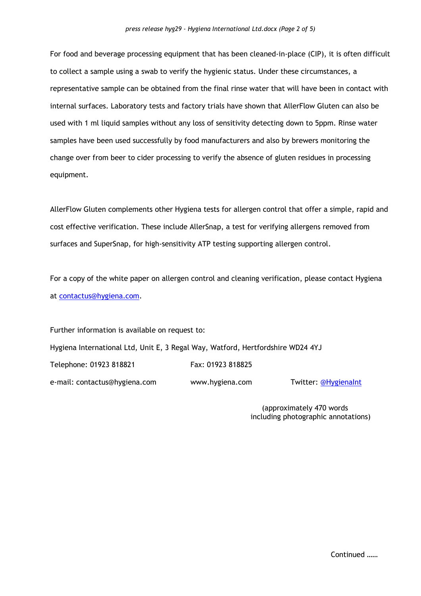For food and beverage processing equipment that has been cleaned-in-place (CIP), it is often difficult to collect a sample using a swab to verify the hygienic status. Under these circumstances, a representative sample can be obtained from the final rinse water that will have been in contact with internal surfaces. Laboratory tests and factory trials have shown that AllerFlow Gluten can also be used with 1 ml liquid samples without any loss of sensitivity detecting down to 5ppm. Rinse water samples have been used successfully by food manufacturers and also by brewers monitoring the change over from beer to cider processing to verify the absence of gluten residues in processing equipment.

AllerFlow Gluten complements other Hygiena tests for allergen control that offer a simple, rapid and cost effective verification. These include AllerSnap, a test for verifying allergens removed from surfaces and SuperSnap, for high-sensitivity ATP testing supporting allergen control.

For a copy of the white paper on allergen control and cleaning verification, please contact Hygiena at [contactus@hygiena.com.](mailto:contactus@hygiena.com)

Further information is available on request to: Hygiena International Ltd, Unit E, 3 Regal Way, Watford, Hertfordshire WD24 4YJ Telephone: 01923 818821 Fax: 01923 818825 e-mail: contactus@hygiena.com www.hygiena.com Twitter: [@HygienaInt](https://twitter.com/HygienaInt)

(approximately 470 words

including photographic annotations)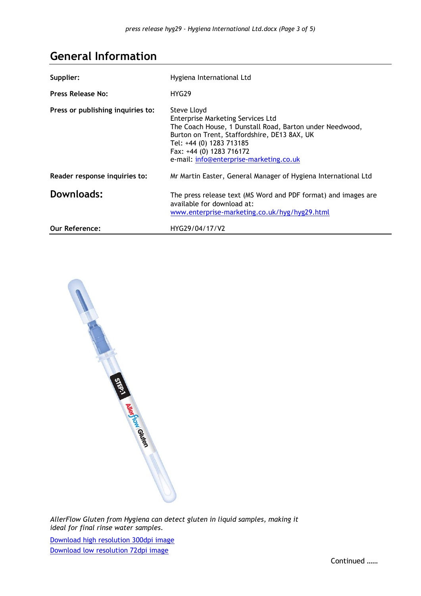## **General Information**

| Supplier:                         | Hygiena International Ltd                                                                                                                                                                                                                                       |
|-----------------------------------|-----------------------------------------------------------------------------------------------------------------------------------------------------------------------------------------------------------------------------------------------------------------|
| Press Release No:                 | HYG <sub>29</sub>                                                                                                                                                                                                                                               |
| Press or publishing inquiries to: | Steve Lloyd<br>Enterprise Marketing Services Ltd<br>The Coach House, 1 Dunstall Road, Barton under Needwood,<br>Burton on Trent, Staffordshire, DE13 8AX, UK<br>Tel: +44 (0) 1283 713185<br>Fax: +44 (0) 1283 716172<br>e-mail: info@enterprise-marketing.co.uk |
| Reader response inquiries to:     | Mr Martin Easter, General Manager of Hygiena International Ltd                                                                                                                                                                                                  |
| Downloads:                        | The press release text (MS Word and PDF format) and images are<br>available for download at:<br>www.enterprise-marketing.co.uk/hyg/hyg29.html                                                                                                                   |
| <b>Our Reference:</b>             | HYG29/04/17/V2                                                                                                                                                                                                                                                  |



*AllerFlow Gluten from Hygiena can detect gluten in liquid samples, making it ideal for final rinse water samples.*

[Download high resolution 300dpi image](http://www.enterprise-marketing.co.uk/hyg/hyg29-a-300dpi.jpg) [Download low resolution 72dpi image](http://www.enterprise-marketing.co.uk/hyg/hyg29-a-72dpi.jpg)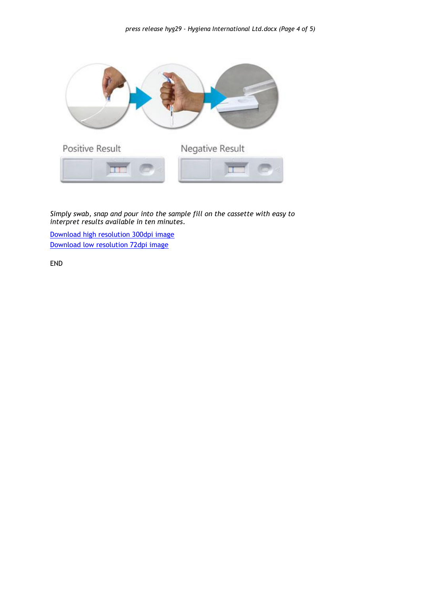

*Simply swab, snap and pour into the sample fill on the cassette with easy to interpret results available in ten minutes.*

[Download high resolution 300dpi image](http://www.enterprise-marketing.co.uk/hyg/hyg29-b-300dpi.jpg) [Download low resolution 72dpi image](http://www.enterprise-marketing.co.uk/hyg/hyg29-b-72dpi.jpg)

END